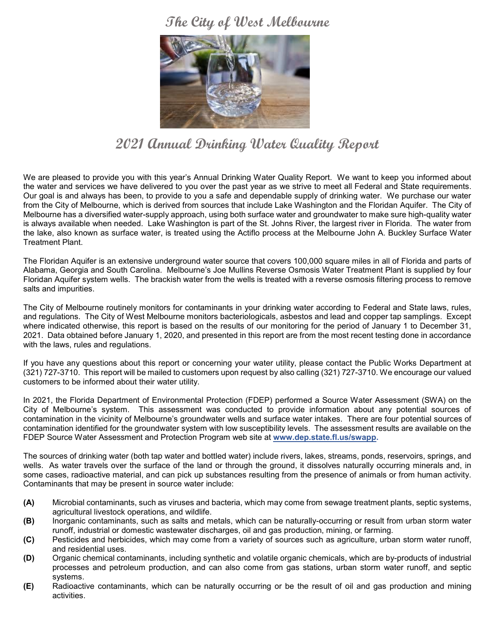## **The City of West Melbourne**



# **2021 Annual Drinking Water Quality Report**

We are pleased to provide you with this year's Annual Drinking Water Quality Report. We want to keep you informed about the water and services we have delivered to you over the past year as we strive to meet all Federal and State requirements. Our goal is and always has been, to provide to you a safe and dependable supply of drinking water. We purchase our water from the City of Melbourne, which is derived from sources that include Lake Washington and the Floridan Aquifer. The City of Melbourne has a diversified water-supply approach, using both surface water and groundwater to make sure high-quality water is always available when needed. Lake Washington is part of the St. Johns River, the largest river in Florida. The water from the lake, also known as surface water, is treated using the Actiflo process at the Melbourne John A. Buckley Surface Water Treatment Plant.

The Floridan Aquifer is an extensive underground water source that covers 100,000 square miles in all of Florida and parts of Alabama, Georgia and South Carolina. Melbourne's Joe Mullins Reverse Osmosis Water Treatment Plant is supplied by four Floridan Aquifer system wells. The brackish water from the wells is treated with a reverse osmosis filtering process to remove salts and impurities.

The City of Melbourne routinely monitors for contaminants in your drinking water according to Federal and State laws, rules, and regulations. The City of West Melbourne monitors bacteriologicals, asbestos and lead and copper tap samplings. Except where indicated otherwise, this report is based on the results of our monitoring for the period of January 1 to December 31, 2021. Data obtained before January 1, 2020, and presented in this report are from the most recent testing done in accordance with the laws, rules and regulations.

If you have any questions about this report or concerning your water utility, please contact the Public Works Department at (321) 727-3710. This report will be mailed to customers upon request by also calling (321) 727-3710. We encourage our valued customers to be informed about their water utility.

In 2021, the Florida Department of Environmental Protection (FDEP) performed a Source Water Assessment (SWA) on the City of Melbourne's system. This assessment was conducted to provide information about any potential sources of contamination in the vicinity of Melbourne's groundwater wells and surface water intakes. There are four potential sources of contamination identified for the groundwater system with low susceptibility levels. The assessment results are available on the FDEP Source Water Assessment and Protection Program web site at **[www.dep.state.fl.us/swapp.](http://www.dep.state.fl.us/swapp)** 

The sources of drinking water (both tap water and bottled water) include rivers, lakes, streams, ponds, reservoirs, springs, and wells. As water travels over the surface of the land or through the ground, it dissolves naturally occurring minerals and, in some cases, radioactive material, and can pick up substances resulting from the presence of animals or from human activity. Contaminants that may be present in source water include:

- **(A)** Microbial contaminants, such as viruses and bacteria, which may come from sewage treatment plants, septic systems, agricultural livestock operations, and wildlife.
- **(B)** Inorganic contaminants, such as salts and metals, which can be naturally-occurring or result from urban storm water runoff, industrial or domestic wastewater discharges, oil and gas production, mining, or farming.
- **(C)** Pesticides and herbicides, which may come from a variety of sources such as agriculture, urban storm water runoff, and residential uses.
- **(D)** Organic chemical contaminants, including synthetic and volatile organic chemicals, which are by-products of industrial processes and petroleum production, and can also come from gas stations, urban storm water runoff, and septic systems.
- **(E)** Radioactive contaminants, which can be naturally occurring or be the result of oil and gas production and mining activities.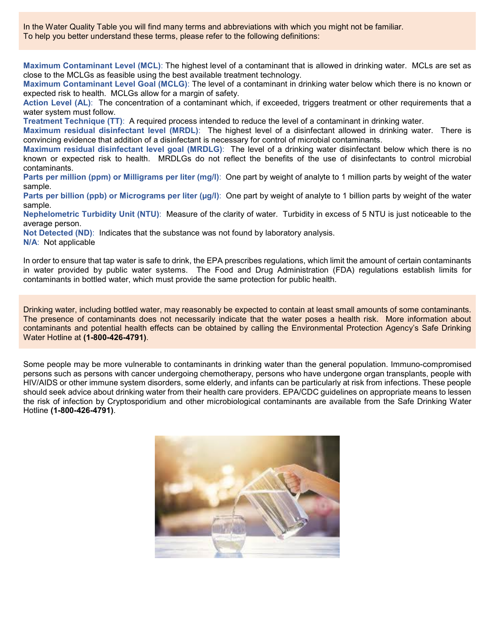In the Water Quality Table you will find many terms and abbreviations with which you might not be familiar. To help you better understand these terms, please refer to the following definitions:

**Maximum Contaminant Level (MCL)**: The highest level of a contaminant that is allowed in drinking water. MCLs are set as close to the MCLGs as feasible using the best available treatment technology.

**Maximum Contaminant Level Goal (MCLG)**: The level of a contaminant in drinking water below which there is no known or expected risk to health. MCLGs allow for a margin of safety.

**Action Level (AL)**: The concentration of a contaminant which, if exceeded, triggers treatment or other requirements that a water system must follow.

**Treatment Technique (TT)**: A required process intended to reduce the level of a contaminant in drinking water.

**Maximum residual disinfectant level (MRDL)**: The highest level of a disinfectant allowed in drinking water. There is convincing evidence that addition of a disinfectant is necessary for control of microbial contaminants.

**Maximum residual disinfectant level goal (MRDLG)**: The level of a drinking water disinfectant below which there is no known or expected risk to health. MRDLGs do not reflect the benefits of the use of disinfectants to control microbial contaminants.

**Parts per million (ppm) or Milligrams per liter (mg/l)**: One part by weight of analyte to 1 million parts by weight of the water sample.

**Parts per billion (ppb) or Micrograms per liter (µg/l)**:One part by weight of analyte to 1 billion parts by weight of the water sample.

**Nephelometric Turbidity Unit (NTU)**: Measure of the clarity of water. Turbidity in excess of 5 NTU is just noticeable to the average person.

**Not Detected (ND)**: Indicates that the substance was not found by laboratory analysis.

**N/A**: Not applicable

In order to ensure that tap water is safe to drink, the EPA prescribes regulations, which limit the amount of certain contaminants in water provided by public water systems. The Food and Drug Administration (FDA) regulations establish limits for contaminants in bottled water, which must provide the same protection for public health.

Drinking water, including bottled water, may reasonably be expected to contain at least small amounts of some contaminants. The presence of contaminants does not necessarily indicate that the water poses a health risk. More information about contaminants and potential health effects can be obtained by calling the Environmental Protection Agency's Safe Drinking Water Hotline at **(1-800-426-4791)**.

Some people may be more vulnerable to contaminants in drinking water than the general population. Immuno-compromised persons such as persons with cancer undergoing chemotherapy, persons who have undergone organ transplants, people with HIV/AIDS or other immune system disorders, some elderly, and infants can be particularly at risk from infections. These people should seek advice about drinking water from their health care providers. EPA/CDC guidelines on appropriate means to lessen the risk of infection by Cryptosporidium and other microbiological contaminants are available from the Safe Drinking Water Hotline **(1-800-426-4791)**.

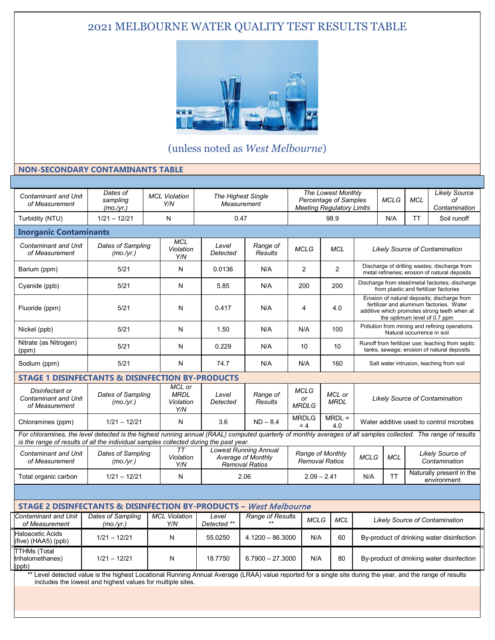### 2021 MELBOURNE WATER QUALITY TEST RESULTS TABLE



(unless noted as *West Melbourne*)

#### **NON-SECONDARY CONTAMINANTS TABLE**

| <b>Contaminant and Unit</b><br>of Measurement                                                                                                                                                                                                           | Dates of<br>sampling<br>(mo./yr.) |  | <b>MCL Violation</b><br>Y/N               |                      | <b>The Highest Single</b><br>Measurement                                    |                                   |                                           | <b>The Lowest Monthly</b><br><b>Percentage of Samples</b><br><b>Meeting Regulatory Limits</b> |                                                                                                                                                                         | <b>MCLG</b> | <b>MCL</b> | <b>Likely Source</b><br>оf<br>Contamination |
|---------------------------------------------------------------------------------------------------------------------------------------------------------------------------------------------------------------------------------------------------------|-----------------------------------|--|-------------------------------------------|----------------------|-----------------------------------------------------------------------------|-----------------------------------|-------------------------------------------|-----------------------------------------------------------------------------------------------|-------------------------------------------------------------------------------------------------------------------------------------------------------------------------|-------------|------------|---------------------------------------------|
| Turbidity (NTU)                                                                                                                                                                                                                                         | $1/21 - 12/21$                    |  | N                                         |                      | 0.47                                                                        |                                   |                                           | 98.9                                                                                          |                                                                                                                                                                         | N/A         | <b>TT</b>  | Soil runoff                                 |
| <b>Inorganic Contaminants</b>                                                                                                                                                                                                                           |                                   |  |                                           |                      |                                                                             |                                   |                                           |                                                                                               |                                                                                                                                                                         |             |            |                                             |
| <b>Contaminant and Unit</b><br>of Measurement                                                                                                                                                                                                           | Dates of Sampling<br>(mo./yr.)    |  | <b>MCL</b><br>Violation<br>Y/N            | Level<br>Detected    | Range of<br>Results                                                         | <b>MCLG</b>                       |                                           | <b>MCL</b>                                                                                    | <b>Likely Source of Contamination</b>                                                                                                                                   |             |            |                                             |
| Barium (ppm)                                                                                                                                                                                                                                            | 5/21                              |  | N                                         | 0.0136               | N/A                                                                         | $\overline{2}$                    |                                           | 2                                                                                             | Discharge of drilling wastes; discharge from<br>metal refineries; erosion of natural deposits                                                                           |             |            |                                             |
| Cyanide (ppb)                                                                                                                                                                                                                                           | 5/21                              |  |                                           | 5.85                 | N/A                                                                         | 200                               |                                           | 200                                                                                           | Discharge from steel/metal factories; discharge<br>from plastic and fertilizer factories                                                                                |             |            |                                             |
| Fluoride (ppm)                                                                                                                                                                                                                                          | 5/21                              |  | N                                         | 0.417                | N/A                                                                         | 4                                 |                                           | 4.0                                                                                           | Erosion of natural deposits; discharge from<br>fertilizer and aluminum factories. Water<br>additive which promotes strong teeth when at<br>the optimum level of 0.7 ppm |             |            |                                             |
| Nickel (ppb)                                                                                                                                                                                                                                            | 5/21                              |  | N                                         | 1.50                 | N/A                                                                         | N/A                               |                                           | 100                                                                                           | Pollution from mining and refining operations.<br>Natural occurrence in soil                                                                                            |             |            |                                             |
| Nitrate (as Nitrogen)<br>(ppm)                                                                                                                                                                                                                          | 5/21                              |  | N                                         | 0.229                | N/A                                                                         | 10                                |                                           | 10                                                                                            | Runoff from fertilizer use; leaching from septic<br>tanks, sewage; erosion of natural deposits                                                                          |             |            |                                             |
| Sodium (ppm)                                                                                                                                                                                                                                            | 5/21                              |  | N                                         | 74.7                 | N/A                                                                         | N/A                               |                                           | 160                                                                                           | Salt water intrusion, leaching from soil                                                                                                                                |             |            |                                             |
| <b>STAGE 1 DISINFECTANTS &amp; DISINFECTION BY-PRODUCTS</b>                                                                                                                                                                                             |                                   |  |                                           |                      |                                                                             |                                   |                                           |                                                                                               |                                                                                                                                                                         |             |            |                                             |
| Disinfectant or<br><b>Contaminant and Unit</b><br>of Measurement                                                                                                                                                                                        | Dates of Sampling<br>(mo./yr.)    |  | MCL or<br><b>MRDL</b><br>Violation<br>Y/N | Level<br>Detected    | Range of<br><b>Results</b>                                                  | <b>MCLG</b><br>or<br><b>MRDLG</b> |                                           | MCL or<br><b>MRDL</b>                                                                         | <b>Likely Source of Contamination</b>                                                                                                                                   |             |            |                                             |
| Chloramines (ppm)                                                                                                                                                                                                                                       | $1/21 - 12/21$                    |  | N                                         | 3.6                  | $ND - 8.4$                                                                  | <b>MRDLG</b><br>$= 4$             |                                           | $MRDL =$<br>4.0                                                                               | Water additive used to control microbes                                                                                                                                 |             |            |                                             |
| For chloramines, the level detected is the highest running annual (RAAL) computed quarterly of monthly averages of all samples collected. The range of results<br>is the range of results of all the individual samples collected during the past year. |                                   |  |                                           |                      |                                                                             |                                   |                                           |                                                                                               |                                                                                                                                                                         |             |            |                                             |
| <b>Contaminant and Unit</b><br>of Measurement                                                                                                                                                                                                           | Dates of Sampling<br>(mo./yr.)    |  | <b>TT</b><br>Violation<br>Y/N             |                      | <b>Lowest Running Annual</b><br>Average of Monthly<br><b>Removal Ratios</b> |                                   | Range of Monthly<br><b>Removal Ratios</b> |                                                                                               | <b>MCLG</b>                                                                                                                                                             | <b>MCL</b>  |            | Likely Source of<br>Contamination           |
| Total organic carbon                                                                                                                                                                                                                                    | $1/21 - 12/21$                    |  | N                                         |                      | 2.06                                                                        |                                   | $2.09 - 2.41$                             |                                                                                               | N/A                                                                                                                                                                     | <b>TT</b>   |            | Naturally present in the<br>environment     |
|                                                                                                                                                                                                                                                         |                                   |  |                                           |                      |                                                                             |                                   |                                           |                                                                                               |                                                                                                                                                                         |             |            |                                             |
| <b>STAGE 2 DISINFECTANTS &amp; DISINFECTION BY-PRODUCTS - West Melbourne</b>                                                                                                                                                                            |                                   |  |                                           |                      |                                                                             |                                   |                                           |                                                                                               |                                                                                                                                                                         |             |            |                                             |
| <b>Contaminant and Unit</b><br>of Measurement                                                                                                                                                                                                           | Dates of Sampling<br>(mo./yr.)    |  | <b>MCL Violation</b><br>Y/N               | Level<br>Detected ** | Range of Results                                                            |                                   | <b>MCLG</b>                               | <b>MCL</b>                                                                                    | <b>Likely Source of Contamination</b>                                                                                                                                   |             |            |                                             |
| <b>Haloacetic Acids</b><br>(five) (HAA5) (ppb)                                                                                                                                                                                                          | $1/21 - 12/21$                    |  | N                                         | 55.0250              | $4.1200 - 86.3000$                                                          |                                   | N/A                                       | 60                                                                                            | By-product of drinking water disinfection                                                                                                                               |             |            |                                             |
| <b>TTHMs</b> (Total<br>trihalomethanes)<br>(ppb)                                                                                                                                                                                                        | $1/21 - 12/21$                    |  | N                                         | 18.7750              | $6.7900 - 27.3000$                                                          |                                   | N/A                                       | 80                                                                                            | By-product of drinking water disinfection                                                                                                                               |             |            |                                             |
| ** Level detected value is the highest Locational Running Annual Average (LRAA) value reported for a single site during the year, and the range of results<br>includes the lowest and highest values for multiple sites.                                |                                   |  |                                           |                      |                                                                             |                                   |                                           |                                                                                               |                                                                                                                                                                         |             |            |                                             |